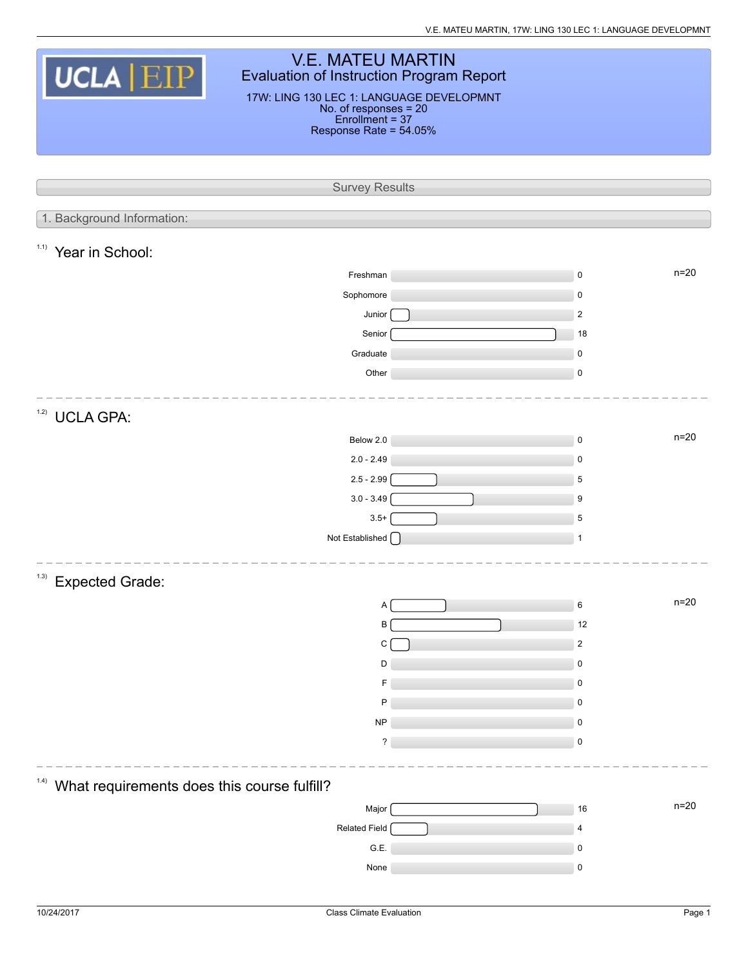| <b>V.E. MATEU MARTIN</b><br>UCLA EIP<br><b>Evaluation of Instruction Program Report</b><br>17W: LING 130 LEC 1: LANGUAGE DEVELOPMNT<br>No. of responses = 20<br>Enrollment = 37 |                        |                         |          |  |  |  |  |
|---------------------------------------------------------------------------------------------------------------------------------------------------------------------------------|------------------------|-------------------------|----------|--|--|--|--|
|                                                                                                                                                                                 | Response Rate = 54.05% |                         |          |  |  |  |  |
|                                                                                                                                                                                 |                        |                         |          |  |  |  |  |
|                                                                                                                                                                                 |                        |                         |          |  |  |  |  |
|                                                                                                                                                                                 | <b>Survey Results</b>  |                         |          |  |  |  |  |
| 1. Background Information:                                                                                                                                                      |                        |                         |          |  |  |  |  |
| 1.1)<br>Year in School:                                                                                                                                                         |                        |                         |          |  |  |  |  |
|                                                                                                                                                                                 | Freshman               | $\pmb{0}$               | $n = 20$ |  |  |  |  |
|                                                                                                                                                                                 | Sophomore              | $\mathbf 0$             |          |  |  |  |  |
|                                                                                                                                                                                 | Junior                 | $\overline{2}$          |          |  |  |  |  |
|                                                                                                                                                                                 | Senior                 | 18                      |          |  |  |  |  |
|                                                                                                                                                                                 | Graduate               | $\pmb{0}$               |          |  |  |  |  |
|                                                                                                                                                                                 | Other                  | $\pmb{0}$               |          |  |  |  |  |
| 1.2)<br><b>UCLA GPA:</b>                                                                                                                                                        |                        |                         |          |  |  |  |  |
|                                                                                                                                                                                 | Below 2.0              | $\pmb{0}$               | $n = 20$ |  |  |  |  |
|                                                                                                                                                                                 | $2.0 - 2.49$           | $\boldsymbol{0}$        |          |  |  |  |  |
|                                                                                                                                                                                 | $2.5 - 2.99$           | 5                       |          |  |  |  |  |
|                                                                                                                                                                                 | $3.0 - 3.49$           | 9                       |          |  |  |  |  |
|                                                                                                                                                                                 | $3.5+$                 | 5                       |          |  |  |  |  |
|                                                                                                                                                                                 | Not Established [      | 1                       |          |  |  |  |  |
| 1.3)<br><b>Expected Grade:</b>                                                                                                                                                  |                        |                         |          |  |  |  |  |
|                                                                                                                                                                                 | А                      | 6                       | $n=20$   |  |  |  |  |
|                                                                                                                                                                                 | B                      | 12                      |          |  |  |  |  |
|                                                                                                                                                                                 | С                      | $\overline{\mathbf{c}}$ |          |  |  |  |  |
|                                                                                                                                                                                 | D                      | $\pmb{0}$               |          |  |  |  |  |
|                                                                                                                                                                                 |                        | 0                       |          |  |  |  |  |
|                                                                                                                                                                                 | P                      | $\pmb{0}$               |          |  |  |  |  |
|                                                                                                                                                                                 | <b>NP</b>              | 0                       |          |  |  |  |  |
|                                                                                                                                                                                 | ?                      | $\pmb{0}$               |          |  |  |  |  |
|                                                                                                                                                                                 |                        |                         |          |  |  |  |  |
| (1.4)<br>What requirements does this course fulfill?                                                                                                                            |                        |                         |          |  |  |  |  |
|                                                                                                                                                                                 | Major                  | $16$                    | $n=20$   |  |  |  |  |
|                                                                                                                                                                                 | Related Field          | $\overline{4}$          |          |  |  |  |  |
|                                                                                                                                                                                 | G.E.                   | 0                       |          |  |  |  |  |
|                                                                                                                                                                                 | None                   | $\pmb{0}$               |          |  |  |  |  |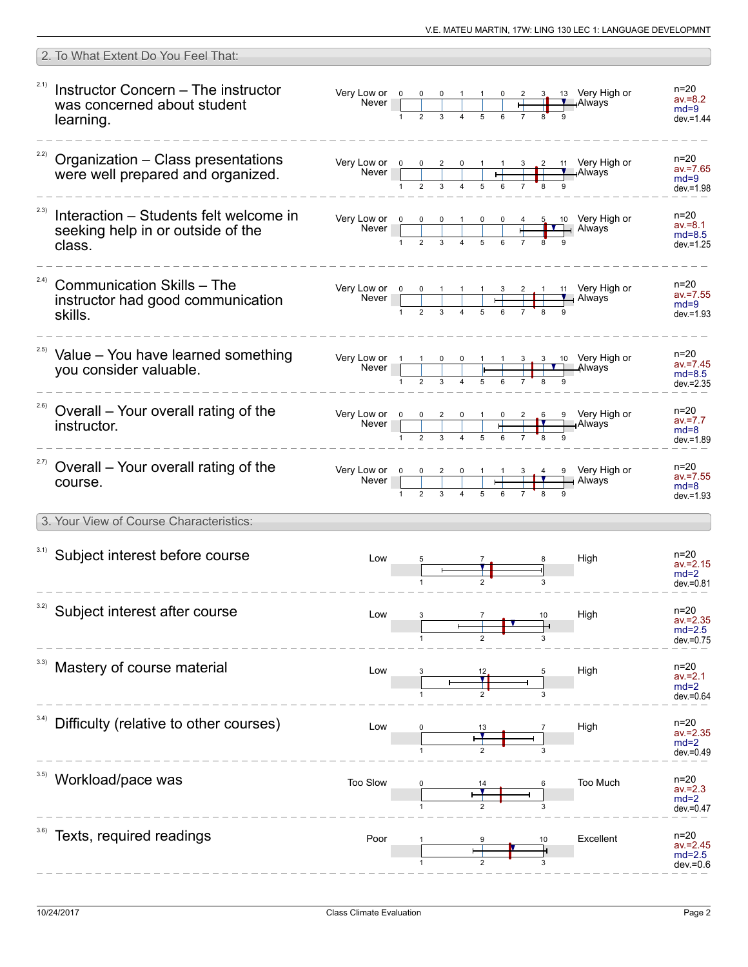| 2. To What Extent Do You Feel That:                                                           |                                                                                                                                         |  |                                            |    |                                                                                                                                                                                                                                                                                                                                         |                                                     |
|-----------------------------------------------------------------------------------------------|-----------------------------------------------------------------------------------------------------------------------------------------|--|--------------------------------------------|----|-----------------------------------------------------------------------------------------------------------------------------------------------------------------------------------------------------------------------------------------------------------------------------------------------------------------------------------------|-----------------------------------------------------|
| 2.1)<br>Instructor Concern - The instructor<br>was concerned about student<br>learning.       | Very Low or $\begin{array}{ c c c c c }\n\hline\n&\text{Never} & 0 & 0 & 0 & 1 & 1 & 0 \\ \hline\n& 1 & 2 & 3 & 4 & 5 & 6\n\end{array}$ |  | $\begin{array}{c c} \n\hline\n\end{array}$ |    | $\frac{3}{1}$ 13 Very High or                                                                                                                                                                                                                                                                                                           | n=20<br>$av = 8.2$<br>$md=9$<br>$dev = 1.44$        |
| <sup>22)</sup> Organization - Class presentations<br>were well prepared and organized.        | Very Low or 0 0 2 0 1 1 3 2<br>Never 1 2 3 4 5 6 7 8                                                                                    |  |                                            |    | 11 Very High or<br>—ıAlways                                                                                                                                                                                                                                                                                                             | $n = 20$<br>$av = 7.65$<br>$md=9$<br>$dev = 1.98$   |
| 2.3)<br>Interaction – Students felt welcome in<br>seeking help in or outside of the<br>class. |                                                                                                                                         |  |                                            |    | Very Low or $\begin{array}{ c c c c c c c c c }\n\hline\n& & & & & & \\ \hline\n& & & & & & \\ \hline\n& 1 & 2 & 3 & 4 & 5 & 6 & 7 & 8 & 9 \\ \hline\n& 4 & 5 & 6 & 7 & 8 & 9 & 9 & 11 \\ \hline\n& 5 & 6 & 7 & 8 & 9 & 9 & 11 & 11 \\ \hline\n& 6 & 7 & 8 & 9 & 9 & 11 & 11 & 11 \\ \hline\n& 7 & 8 & 9 & 9 & 11 & 11 & 11 & 11 \\ \h$ | $n = 20$<br>$av = 8.1$<br>$md=8.5$<br>$dev = 1.25$  |
| (2.4)<br><b>Communication Skills - The</b><br>instructor had good communication<br>skills.    |                                                                                                                                         |  |                                            |    | Very Low or $\begin{array}{ c c c c c c }\n\hline\n&1&2&3&4&5&6&7&8&9\n\end{array}$ Always                                                                                                                                                                                                                                              | n=20<br>$av = 7.55$<br>$md=9$<br>$dev = 1.93$       |
| <sup>2.5)</sup> Value - You have learned something<br>you consider valuable.                  |                                                                                                                                         |  |                                            |    | Very Low or $\begin{array}{ c c c c c c }\n\hline\n& 1 & 1 & 0 & 0 & 1 & 1 & 3 & 3 & 10 & \text{Very High or }\n\hline\n& 1 & 2 & 3 & 4 & 5 & 6 & 7 & 8 & 9\n\end{array}$ Always                                                                                                                                                        | n=20<br>$av = 7.45$<br>$md=8.5$<br>$dev = 2.35$     |
| 2.6)<br>Overall - Your overall rating of the<br>instructor.                                   | Very Low or 0<br>Never                                                                                                                  |  |                                            |    | $\begin{array}{c ccccccccc}\n & 0 & 2 & 0 & 1 & 0 & 2 & 6 & 9 & \text{Very High or} \\ \hline\n & 2 & 3 & 4 & 5 & 6 & 7 & 8 & 9\n\end{array}$                                                                                                                                                                                           | n=20<br>$av = 7.7$<br>$md = 8$<br>$dev = 1.89$      |
| <sup>2.7)</sup> Overall – Your overall rating of the<br>course.                               | Very Low or 0 0 2 0 1 1 3 4 9 Very Hit<br>Never 1 2 3 4 5 6 7 8 9                                                                       |  |                                            |    | 9 Very High or                                                                                                                                                                                                                                                                                                                          | $n = 20$<br>$av = 7.55$<br>$md = 8$<br>$dev = 1.93$ |
| 3. Your View of Course Characteristics:                                                       |                                                                                                                                         |  |                                            |    |                                                                                                                                                                                                                                                                                                                                         |                                                     |
| 3.1) Subject interest before course                                                           | Low                                                                                                                                     |  |                                            |    | High                                                                                                                                                                                                                                                                                                                                    | $n = 20$<br>$av = 2.15$<br>$md=2$<br>$dev = 0.81$   |
| 3.2)<br>Subject interest after course                                                         | Low                                                                                                                                     |  |                                            |    | High                                                                                                                                                                                                                                                                                                                                    | $n = 20$<br>$av = 2.35$<br>$md=2.5$<br>$dev = 0.75$ |
| Mastery of course material                                                                    | Low                                                                                                                                     |  |                                            |    | High                                                                                                                                                                                                                                                                                                                                    | n=20<br>$av = 2.1$<br>$md=2$<br>dev.=0.64           |
| 3.4)<br>Difficulty (relative to other courses)                                                | Low                                                                                                                                     |  |                                            |    | High                                                                                                                                                                                                                                                                                                                                    | $n=20$<br>$av = 2.35$<br>$md=2$<br>$dev = 0.49$     |
| Workload/pace was                                                                             | Too Slow                                                                                                                                |  |                                            |    | Too Much                                                                                                                                                                                                                                                                                                                                | n=20<br>$av = 2.3$<br>$md=2$<br>$dev = 0.47$        |
| Texts, required readings                                                                      | Poor                                                                                                                                    |  |                                            | 10 | Excellent                                                                                                                                                                                                                                                                                                                               | n=20<br>$av = 2.45$<br>$md=2.5$<br>$dev = 0.6$      |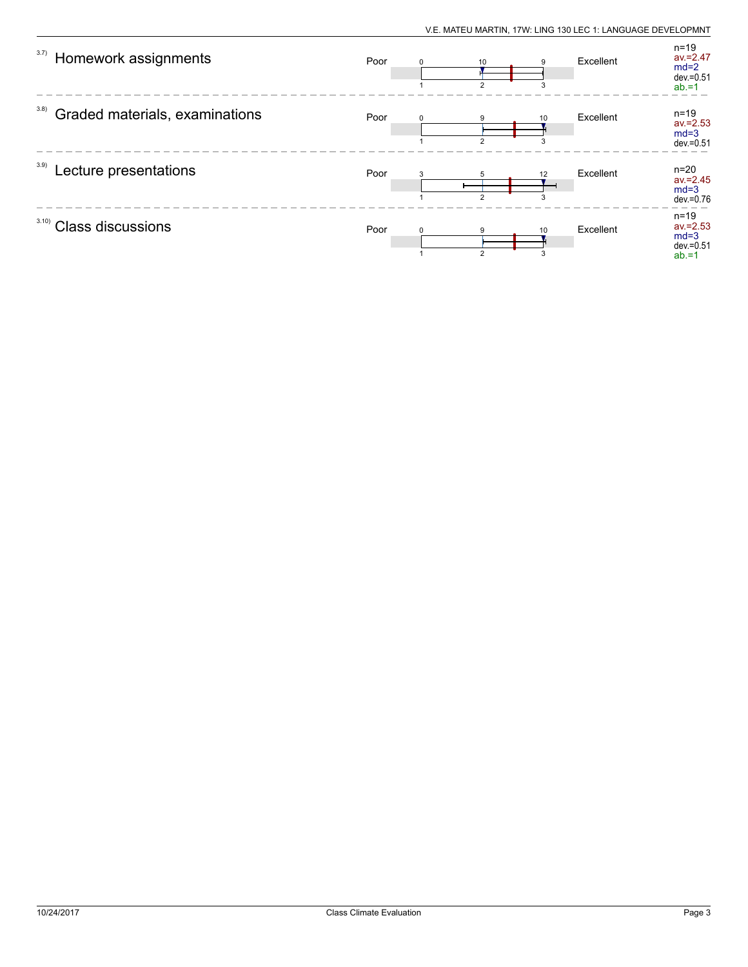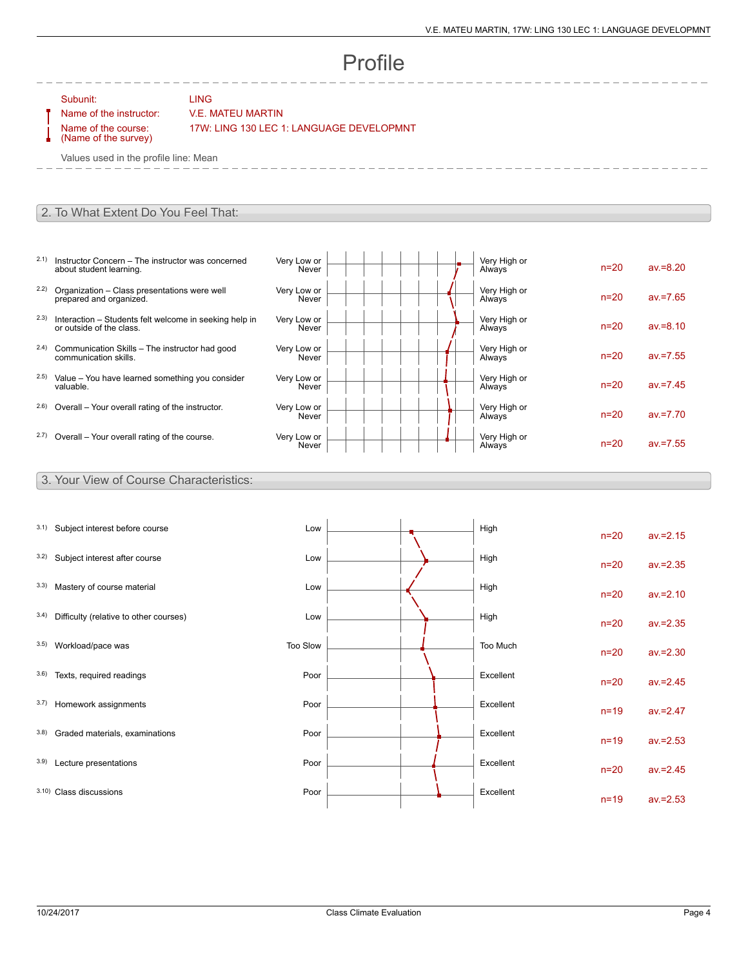# Profile

Subunit: LING

### Name of the instructor: V.E. MATEU MARTIN

Name of the course: (Name of the survey) 17W: LING 130 LEC 1: LANGUAGE DEVELOPMNT

Values used in the profile line: Mean

#### 2. To What Extent Do You Feel That:

- 2.1) Instructor Concern The instructor was concerned about student learning.
- 2.2) Organization Class presentations were well prepared and organized.
- 2.3) Interaction Students felt welcome in seeking help in or outside of the class.
- 2.4) Communication Skills The instructor had good communication skills.
- 2.5) Value You have learned something you consider valuable.
- $2.6$ ) Overall Your overall rating of the instructor.
- $2.7)$  Overall Your overall rating of the course.

| Very Low or<br>Never | Very High or<br>Always | $n=20$   | $av = 8.20$ |
|----------------------|------------------------|----------|-------------|
| Very Low or<br>Never | Very High or<br>Always | $n = 20$ | $av = 7.65$ |
| Very Low or<br>Never | Very High or<br>Always | $n=20$   | $av = 8.10$ |
| Very Low or<br>Never | Very High or<br>Always | $n=20$   | $av = 7.55$ |
| Very Low or<br>Never | Very High or<br>Always | $n=20$   | $av = 7.45$ |
| Very Low or<br>Never | Very High or<br>Always | $n=20$   | $av = 7.70$ |
| Very Low or<br>Never | Very High or<br>Always | $n=20$   | $av = 7.55$ |

#### 3. Your View of Course Characteristics:

| 3.1) | Subject interest before course         | Low      |  | High      | $n=20$ | $av = 2.15$ |
|------|----------------------------------------|----------|--|-----------|--------|-------------|
| 3.2) | Subject interest after course          | Low      |  | High      | $n=20$ | $av = 2.35$ |
| 3.3) | Mastery of course material             | Low      |  | High      | $n=20$ | $av = 2.10$ |
| 3.4) | Difficulty (relative to other courses) | Low      |  | High      | $n=20$ | $av = 2.35$ |
| 3.5) | Workload/pace was                      | Too Slow |  | Too Much  | $n=20$ | $av = 2.30$ |
| 3.6) | Texts, required readings               | Poor     |  | Excellent | $n=20$ | $av = 2.45$ |
| 3.7) | Homework assignments                   | Poor     |  | Excellent | $n=19$ | $av = 2.47$ |
| 3.8) | Graded materials, examinations         | Poor     |  | Excellent | $n=19$ | $av = 2.53$ |
| 3.9) | Lecture presentations                  | Poor     |  | Excellent | $n=20$ | $av = 2.45$ |
|      | 3.10) Class discussions                | Poor     |  | Excellent | $n=19$ | $av = 2.53$ |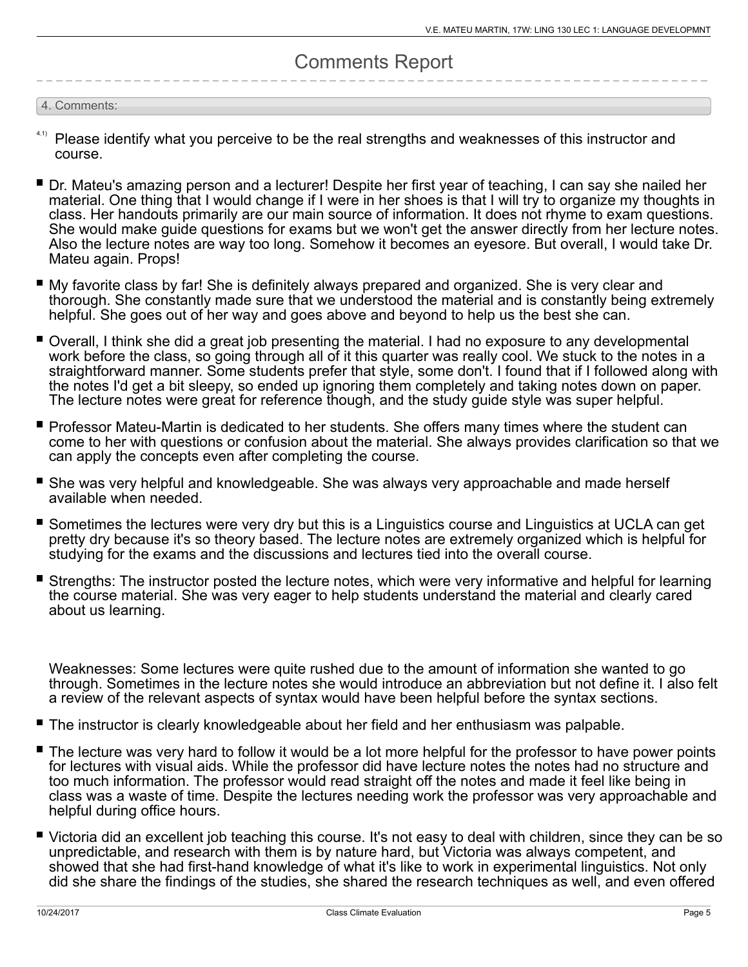## Comments Report

#### 4. Comments:

- Please identify what you perceive to be the real strengths and weaknesses of this instructor and course. 4.1)
- Dr. Mateu's amazing person and a lecturer! Despite her first year of teaching, I can say she nailed her material. One thing that I would change if I were in her shoes is that I will try to organize my thoughts in class. Her handouts primarily are our main source of information. It does not rhyme to exam questions. She would make guide questions for exams but we won't get the answer directly from her lecture notes. Also the lecture notes are way too long. Somehow it becomes an eyesore. But overall, I would take Dr. Mateu again. Props!
- My favorite class by far! She is definitely always prepared and organized. She is very clear and thorough. She constantly made sure that we understood the material and is constantly being extremely helpful. She goes out of her way and goes above and beyond to help us the best she can.
- Overall, I think she did a great job presenting the material. I had no exposure to any developmental work before the class, so going through all of it this quarter was really cool. We stuck to the notes in a straightforward manner. Some students prefer that style, some don't. I found that if I followed along with the notes I'd get a bit sleepy, so ended up ignoring them completely and taking notes down on paper. The lecture notes were great for reference though, and the study guide style was super helpful.
- Professor Mateu-Martin is dedicated to her students. She offers many times where the student can come to her with questions or confusion about the material. She always provides clarification so that we can apply the concepts even after completing the course.
- She was very helpful and knowledgeable. She was always very approachable and made herself available when needed.
- Sometimes the lectures were very dry but this is a Linguistics course and Linguistics at UCLA can get pretty dry because it's so theory based. The lecture notes are extremely organized which is helpful for studying for the exams and the discussions and lectures tied into the overall course.
- П Strengths: The instructor posted the lecture notes, which were very informative and helpful for learning the course material. She was very eager to help students understand the material and clearly cared about us learning.

Weaknesses: Some lectures were quite rushed due to the amount of information she wanted to go through. Sometimes in the lecture notes she would introduce an abbreviation but not define it. I also felt a review of the relevant aspects of syntax would have been helpful before the syntax sections.

- The instructor is clearly knowledgeable about her field and her enthusiasm was palpable.
- The lecture was very hard to follow it would be a lot more helpful for the professor to have power points for lectures with visual aids. While the professor did have lecture notes the notes had no structure and too much information. The professor would read straight off the notes and made it feel like being in class was a waste of time. Despite the lectures needing work the professor was very approachable and helpful during office hours.
- Victoria did an excellent job teaching this course. It's not easy to deal with children, since they can be so unpredictable, and research with them is by nature hard, but Victoria was always competent, and showed that she had first-hand knowledge of what it's like to work in experimental linguistics. Not only did she share the findings of the studies, she shared the research techniques as well, and even offered